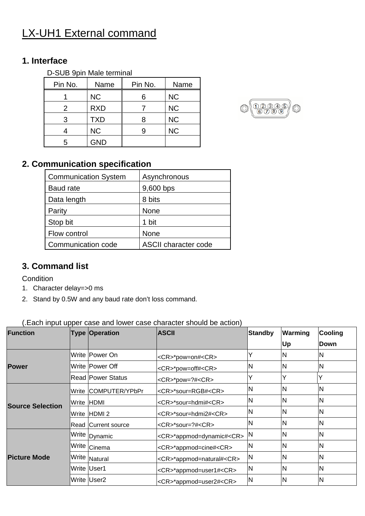## LX-UH1 External command

## **1. Interface**

| D-SUB 9pin Male terminal |            |         |           |  |  |  |
|--------------------------|------------|---------|-----------|--|--|--|
| Pin No.                  | Name       | Pin No. | Name      |  |  |  |
|                          | <b>NC</b>  | 6       | <b>NC</b> |  |  |  |
| $\mathcal{P}$            | <b>RXD</b> |         | <b>NC</b> |  |  |  |
| 3                        | <b>TXD</b> | 8       | <b>NC</b> |  |  |  |
|                          | <b>NC</b>  |         | <b>NC</b> |  |  |  |
| г,                       | <b>GND</b> |         |           |  |  |  |



## **2. Communication specification**

| <b>Communication System</b> | Asynchronous                |
|-----------------------------|-----------------------------|
| <b>Baud rate</b>            | 9,600 bps                   |
| Data length                 | 8 bits                      |
| Parity                      | None                        |
| Stop bit                    | 1 bit                       |
| Flow control                | None                        |
| Communication code          | <b>ASCII character code</b> |

## **3. Command list**

Condition

- 1. Character delay=>0 ms
- 2. Stand by 0.5W and any baud rate don't loss command.

(.Each input upper case and lower case character should be action)

| <b>Function</b>         | $\mu$ = $\mu$ , $\mu$ , $\mu$ , $\mu$ , $\mu$ , $\sigma$ , $\sigma$ , $\sigma$ , $\sigma$ , $\sigma$ , $\sigma$ , $\sigma$ , $\sigma$ , $\sigma$ , $\sigma$ , $\sigma$ , $\sigma$ , $\sigma$ , $\sigma$ , $\sigma$ , $\sigma$ , $\sigma$ , $\sigma$ , $\sigma$ , $\sigma$ , $\sigma$ , $\sigma$ , $\sigma$ , $\sigma$ , $\sigma$ , $\sigma$<br><b>Type Operation</b> | <b>ASCII</b>                       | <b>Standby</b> | Warming | Cooling     |
|-------------------------|----------------------------------------------------------------------------------------------------------------------------------------------------------------------------------------------------------------------------------------------------------------------------------------------------------------------------------------------------------------------|------------------------------------|----------------|---------|-------------|
|                         |                                                                                                                                                                                                                                                                                                                                                                      |                                    |                | Up      | <b>Down</b> |
|                         | Write Power On                                                                                                                                                                                                                                                                                                                                                       | <cr>*pow=on#<cr></cr></cr>         |                | N       | ΙN          |
| <b>Power</b>            | Write   Power Off                                                                                                                                                                                                                                                                                                                                                    | <cr>*pow=off#<cr></cr></cr>        | N              | N       | N           |
|                         | <b>Read Power Status</b>                                                                                                                                                                                                                                                                                                                                             | <cr>*pow=?#<cr></cr></cr>          | Y              |         |             |
|                         | Write COMPUTER/YPbPr                                                                                                                                                                                                                                                                                                                                                 | <cr>*sour=RGB#<cr></cr></cr>       | N              | N       | N           |
|                         | Write HDMI                                                                                                                                                                                                                                                                                                                                                           | <cr>*sour=hdmi#<cr></cr></cr>      | N              | N       | ΙN          |
| <b>Source Selection</b> | Write HDMI 2                                                                                                                                                                                                                                                                                                                                                         | <cr>*sour=hdmi2#<cr></cr></cr>     | N              | N       | ΙN          |
|                         | Read Current source                                                                                                                                                                                                                                                                                                                                                  | <cr>*sour=?#<cr></cr></cr>         | N              | N       | N           |
|                         | Write Dynamic                                                                                                                                                                                                                                                                                                                                                        | <cr>*appmod=dynamic#<cr></cr></cr> | IN             | N       | ΙN          |
| <b>Picture Mode</b>     | I <sup>Write</sup> cinema                                                                                                                                                                                                                                                                                                                                            | <cr>*appmod=cine#<cr></cr></cr>    | N              | N       | ΙN          |
|                         | Write Natural                                                                                                                                                                                                                                                                                                                                                        | <cr>*appmod=natural#<cr></cr></cr> | <b>N</b>       | N       | N           |
|                         | Write User1                                                                                                                                                                                                                                                                                                                                                          | <cr>*appmod=user1#<cr></cr></cr>   | N              | N       | ΙN          |
|                         | Write User <sub>2</sub>                                                                                                                                                                                                                                                                                                                                              | <cr>*appmod=user2#<cr></cr></cr>   | <b>N</b>       | N       | ΙN          |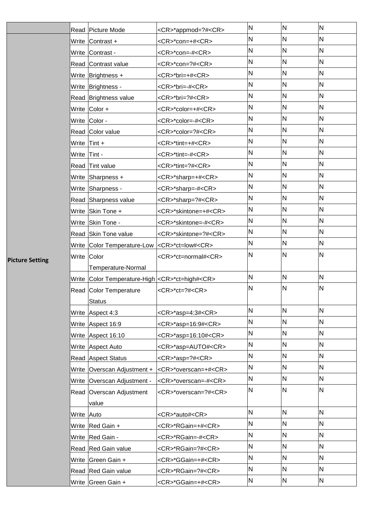|                        |             | Read Picture Mode                                        | <cr>*appmod=?#<cr></cr></cr>   | N            | ${\sf N}$ | N   |
|------------------------|-------------|----------------------------------------------------------|--------------------------------|--------------|-----------|-----|
|                        |             | Write Contrast +                                         | <cr>*con=+#<cr></cr></cr>      | N            | N         | IN. |
|                        | Write       | Contrast -                                               | <cr>*con=-#<cr></cr></cr>      | N            | N         | N   |
|                        |             | Read Contrast value                                      | <cr>*con=?#<cr></cr></cr>      | N            | N         | N   |
|                        |             | Write Brightness +                                       | <cr>*bri=+#<cr></cr></cr>      | N            | N         | N   |
|                        |             | Write Brightness -                                       | <cr>*bri=-#<cr></cr></cr>      | N            | N         | N   |
|                        |             | Read Brightness value                                    | <cr>*bri=?#<cr></cr></cr>      | N            | N         | N   |
|                        |             | Write $\vert$ Color +                                    | <cr>*color=+#<cr></cr></cr>    | N            | N         | N   |
|                        |             | Write Color -                                            | <cr>*color=-#<cr></cr></cr>    | N            | N         | N   |
|                        |             | Read Color value                                         | <cr>*color=?#<cr></cr></cr>    | N            | N         | N   |
|                        | Write       | Tint +                                                   | <cr>*tint=+#<cr></cr></cr>     | N            | N         | N   |
|                        | Write       | Tint -                                                   | <cr>*tint=-#<cr></cr></cr>     | N            | N         | N   |
|                        | Read        | Tint value                                               | <cr>*tint=?#<cr></cr></cr>     | N            | N         | N   |
|                        | Write       | Sharpness +                                              | <cr>*sharp=+#<cr></cr></cr>    | $\mathsf{N}$ | N         | N   |
|                        |             | Write Sharpness -                                        | <cr>*sharp=-#<cr></cr></cr>    | N            | N         | N   |
|                        |             | Read Sharpness value                                     | <cr>*sharp=?#<cr></cr></cr>    | N            | N         | N   |
|                        |             | Write Skin Tone +                                        | <cr>*skintone=+#<cr></cr></cr> | $\mathsf{N}$ | N         | N   |
|                        |             | Write Skin Tone -                                        | <cr>*skintone=-#<cr></cr></cr> | $\mathsf{N}$ | N         | N   |
|                        |             | Read Skin Tone value                                     | <cr>*skintone=?#<cr></cr></cr> | N            | N         | N   |
|                        |             | Write Color Temperature-Low                              | <cr>*ct=low#<cr></cr></cr>     | N            | N         | N   |
| <b>Picture Setting</b> | Write Color |                                                          | <cr>*ct=normal#<cr></cr></cr>  | N            | N         | N   |
|                        |             | Temperature-Normal                                       |                                |              |           |     |
|                        |             | Write Color Temperature-High <cr>*ct=high#<cr></cr></cr> |                                | N            | N         | N   |
|                        |             | Read Color Temperature                                   | <cr>*ct=?#<cr></cr></cr>       | N            | N         | N   |
|                        |             | <b>Status</b>                                            |                                |              |           |     |
|                        | Write       | Aspect 4:3                                               | <cr>*asp=4:3#<cr></cr></cr>    | N            | N         | N   |
|                        |             | Write Aspect 16:9                                        | <cr>*asp=16:9#<cr></cr></cr>   | N            | N         | N   |
|                        |             | Write Aspect 16:10                                       | <cr>*asp=16:10#<cr></cr></cr>  | $\mathsf{N}$ | N         | N   |
|                        | Write       | Aspect Auto                                              | <cr>*asp=AUTO#<cr></cr></cr>   | N            | N         | N   |
|                        |             | Read Aspect Status                                       | <cr>*asp=?#<cr></cr></cr>      | N            | N         | N   |
|                        |             | Write   Overscan Adjustment +                            | <cr>*overscan=+#<cr></cr></cr> | $\mathsf{N}$ | N         | N   |
|                        |             | Write Overscan Adjustment -                              | <cr>*overscan=-#<cr></cr></cr> | N            | N         | N   |
|                        |             | Read Overscan Adjustment                                 | <cr>*overscan=?#<cr></cr></cr> | N            | N         | N   |
|                        |             | value                                                    |                                |              |           |     |
|                        | Write Auto  |                                                          | <cr>*auto#<cr></cr></cr>       | N            | N         | N   |
|                        |             | Write Red Gain +                                         | <cr>*RGain=+#<cr></cr></cr>    | N            | N         | N   |
|                        |             | Write Red Gain -                                         | <cr>*RGain=-#<cr></cr></cr>    | $\mathsf{N}$ | N         | N   |
|                        |             | Read Red Gain value                                      | <cr>*RGain=?#<cr></cr></cr>    | N            | N         | N   |
|                        |             | Write Green Gain +                                       | <cr>*GGain=+#<cr></cr></cr>    | $\mathsf{N}$ | N         | N   |
|                        |             | Read Red Gain value                                      | <cr>*RGain=?#<cr></cr></cr>    | N            | N         | N   |
|                        |             | Write Green Gain +                                       | <cr>*GGain=+#<cr></cr></cr>    | N            | N         | N   |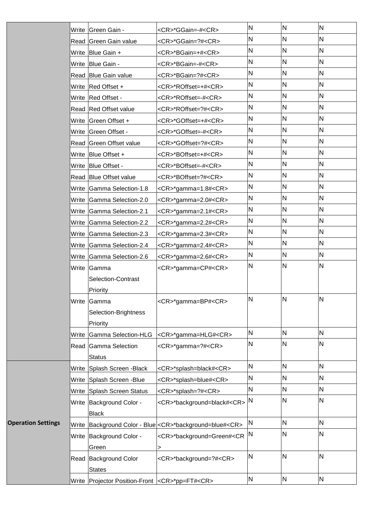|                           | Write Green Gain -                                           | <cr>*GGain=-#<cr></cr></cr>                                       | N            | N            | N   |
|---------------------------|--------------------------------------------------------------|-------------------------------------------------------------------|--------------|--------------|-----|
|                           | Read Green Gain value                                        | <cr>*GGain=?#<cr></cr></cr>                                       | N            | N            | N.  |
|                           | Write Blue Gain +                                            | <cr>*BGain=+#<cr></cr></cr>                                       | N            | N            | N   |
|                           | Write   Blue Gain -                                          | <cr>*BGain=-#<cr></cr></cr>                                       | N            | $\mathsf{N}$ | N   |
|                           | Read Blue Gain value                                         | <cr>*BGain=?#<cr></cr></cr>                                       | N            | $\mathsf{N}$ | N   |
|                           | Write Red Offset +                                           | <cr>*ROffset=+#<cr></cr></cr>                                     | N            | N            | N   |
|                           | Write Red Offset -                                           | <cr>*ROffset=-#<cr></cr></cr>                                     | N            | $\mathsf{N}$ | N   |
|                           | Read Red Offset value                                        | <cr>*ROffset=?#<cr></cr></cr>                                     | N            | N            | N   |
|                           | Write Green Offset +                                         | <cr>*GOffset=+#<cr></cr></cr>                                     | N            | N            | ΙN. |
|                           | Write Green Offset -                                         | <cr>*GOffset=-#<cr></cr></cr>                                     | N            | $\mathsf{N}$ | N   |
|                           | Read Green Offset value                                      | <cr>*GOffset=?#<cr></cr></cr>                                     | N            | N            | N   |
|                           | Write Blue Offset +                                          | <cr>*BOffset=+#<cr></cr></cr>                                     | N            | $\mathsf{N}$ | N   |
|                           | Write Blue Offset -                                          | <cr>*BOffset=-#<cr></cr></cr>                                     | N            | N            | N   |
|                           | Read Blue Offset value                                       | <cr>*BOffset=?#<cr></cr></cr>                                     | N            | N            | N   |
|                           | Write Gamma Selection-1.8                                    | <cr>*gamma=1.8#<cr></cr></cr>                                     | N            | N            | N   |
|                           | Write Gamma Selection-2.0                                    | <cr>*gamma=2.0#<cr></cr></cr>                                     | N            | N            | N   |
|                           | Write Gamma Selection-2.1                                    | <cr>*gamma=2.1#<cr></cr></cr>                                     | N            | N            | N   |
|                           | Write Gamma Selection-2.2                                    | <cr>*gamma=2.2#<cr></cr></cr>                                     | N            | N            | N   |
|                           | Write Gamma Selection-2.3                                    | <cr>*gamma=2.3#<cr></cr></cr>                                     | N            | $\mathsf{N}$ | N   |
|                           | Write Gamma Selection-2.4                                    | <cr>*gamma=2.4#<cr></cr></cr>                                     | N            | N            | IN. |
|                           | Write Gamma Selection-2.6                                    | <cr>*gamma=2.6#<cr></cr></cr>                                     | N            | N            | N   |
|                           | Write Gamma                                                  | <cr>*gamma=CP#<cr></cr></cr>                                      | N            | N            | N   |
|                           | Selection-Contrast                                           |                                                                   |              |              |     |
|                           | Priority                                                     |                                                                   |              |              |     |
|                           | Write Gamma                                                  | <cr>*gamma=BP#<cr></cr></cr>                                      | N            | $\mathsf{N}$ | N   |
|                           | Selection-Brightness                                         |                                                                   |              |              |     |
|                           | Priority                                                     |                                                                   |              |              |     |
|                           | Write Gamma Selection-HLG                                    | <cr>*gamma=HLG#<cr></cr></cr>                                     | N            | N            | N   |
|                           | Read Gamma Selection                                         | <cr>*gamma=?#<cr></cr></cr>                                       | N            | $\mathsf{N}$ | N   |
|                           | <b>Status</b>                                                |                                                                   |              |              |     |
|                           | Write Splash Screen - Black                                  | <cr>*splash=black#<cr></cr></cr>                                  | N            | N            | N   |
|                           | Write Splash Screen - Blue                                   | <cr>*splash=blue#<cr></cr></cr>                                   | N            | N            | N   |
|                           | Write Splash Screen Status                                   | <cr>*splash=?#<cr></cr></cr>                                      | N            | N            | N   |
|                           | Write Background Color -                                     | <cr>*background=black#<cr></cr></cr>                              | N            | $\mathsf{N}$ | N   |
|                           | <b>Black</b>                                                 |                                                                   |              |              |     |
| <b>Operation Settings</b> |                                                              | Write Background Color - Blue < CR>*background=blue# <cr></cr>    | $\mathsf{N}$ | N            | N   |
|                           | Write Background Color -<br>Green                            | <cr>*background=Green#<cr<br><math>\, &gt; \,</math></cr<br></cr> | N            | N            | N   |
|                           | Read Background Color<br><b>States</b>                       | <cr>*background=?#<cr></cr></cr>                                  | N            | $\mathsf{N}$ | N   |
|                           | Write   Projector Position-Front   <cr>*pp=FT#<cr></cr></cr> |                                                                   | N            | N            | N   |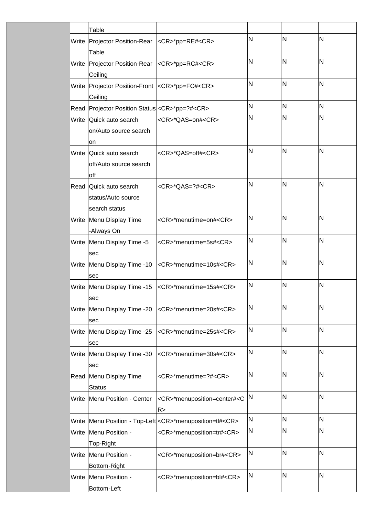|       | Table                                                                |                                                              |   |              |              |
|-------|----------------------------------------------------------------------|--------------------------------------------------------------|---|--------------|--------------|
|       | Write   Projector Position-Rear   < CR >* pp=RE# < CR >              |                                                              | N | IN.          | N            |
|       | Table                                                                |                                                              |   |              |              |
|       | Write   Projector Position-Rear   < CR>*pp=RC# <cr><br/>Ceiling</cr> |                                                              | N | N            | $\mathsf{N}$ |
|       | Write Projector Position-Front <cr>*pp=FC#<cr></cr></cr>             |                                                              | N | $\mathsf{N}$ | N            |
|       | Ceiling                                                              |                                                              | N | $\mathsf{N}$ | N            |
|       | Read Projector Position Status < CR>*pp=?# <cr></cr>                 |                                                              | N | N            | N            |
|       | Write Quick auto search<br>on/Auto source search<br>on               | <cr>*QAS=on#<cr></cr></cr>                                   |   |              |              |
| Write | Quick auto search<br>off/Auto source search<br>off                   | <cr>*QAS=off#<cr></cr></cr>                                  | N | IN.          | N            |
|       | Read Quick auto search<br>status/Auto source<br>search status        | $<$ CR> $*$ QAS=?# <cr></cr>                                 | N | N            | N            |
|       | Write Menu Display Time<br>-Always On                                | <cr>*menutime=on#<cr></cr></cr>                              | N | N            | N            |
|       | Write Menu Display Time -5<br>sec                                    | <cr>*menutime=5s#<cr></cr></cr>                              | N | $\mathsf{N}$ | N            |
|       | Write Menu Display Time -10<br>sec                                   | <cr>*menutime=10s#<cr></cr></cr>                             | N | N            | N            |
|       | sec                                                                  | Write Menu Display Time -15 <cr>*menutime=15s#<cr></cr></cr> | N | N            | N            |
|       | Write Menu Display Time -20<br>sec                                   | <cr>*menutime=20s#<cr></cr></cr>                             | N | N            | N            |
|       | Write Menu Display Time -25<br>sec                                   | <cr>*menutime=25s#<cr></cr></cr>                             | N | N            | N            |
|       | Write Menu Display Time -30<br>sec                                   | <cr>*menutime=30s#<cr></cr></cr>                             | N | N            | $\mathsf{N}$ |
|       | Read Menu Display Time<br><b>Status</b>                              | <cr>*menutime=?#<cr></cr></cr>                               | N | N            | $\mathsf{N}$ |
| Write | Menu Position - Center                                               | <cr>*menuposition=center#<c<br>R &gt;</c<br></cr>            | N | N            | N            |
|       |                                                                      | Write   Menu Position - Top-Left < CR>*menuposition=tl#< CR> | N | N            | N            |
|       | Write Menu Position -                                                | <cr>*menuposition=tr#<cr></cr></cr>                          | N | N            | N            |
| Write | Top-Right<br>Menu Position -<br>Bottom-Right                         | <cr>*menuposition=br#<cr></cr></cr>                          | N | N            | N            |
| Write | Menu Position -<br>Bottom-Left                                       | <cr>*menuposition=bl#<cr></cr></cr>                          | N | N            | N            |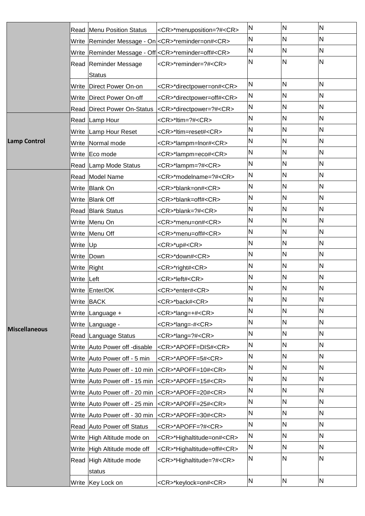| N<br><b>Read Menu Position Status</b><br><cr>*menuposition=?#<cr></cr></cr>     | N | N            |
|---------------------------------------------------------------------------------|---|--------------|
| N<br>Write Reminder Message - On  <cr>*reminder=on#<cr></cr></cr>               | N | N            |
| N<br>Write Reminder Message - Off < CR>*reminder=off# <cr></cr>                 | N | N            |
| N<br>Read Reminder Message<br><cr>*reminder=?#<cr></cr></cr>                    | N | N            |
| <b>Status</b>                                                                   |   |              |
| N<br><cr>*directpower=on#<cr><br/>Write   Direct Power On-on</cr></cr>          | N | N            |
| N<br>Write   Direct Power On-off<br><cr>*directpower=off#<cr></cr></cr>         | N | N            |
| N<br>Read Direct Power On-Status <cr>*directpower=?#<cr></cr></cr>              | N | N            |
| N<br><cr>*ltim=?#<cr><br/>Read Lamp Hour</cr></cr>                              | N | N            |
| N<br>Write Lamp Hour Reset<br><cr>*ltim=reset#<cr></cr></cr>                    | N | N            |
| N<br><b>Lamp Control</b><br>Write Normal mode<br><cr>*lampm=lnor#<cr></cr></cr> | N | N            |
| N<br>Write Eco mode<br><cr>*lampm=eco#<cr></cr></cr>                            | N | N            |
| N<br>Read Lamp Mode Status<br><cr>*lampm=?#<cr></cr></cr>                       | N | N            |
| N<br>Read Model Name<br><cr>*modelname=?#<cr></cr></cr>                         | N | N            |
| N<br>Write Blank On<br><cr>*blank=on#<cr></cr></cr>                             | N | N            |
| N<br>Write Blank Off<br><cr>*blank=off#<cr></cr></cr>                           | N | N            |
| N<br>Read Blank Status<br><cr>*blank=?#<cr></cr></cr>                           | N | N            |
| N<br>Write Menu On<br><cr>*menu=on#<cr></cr></cr>                               | N | N            |
| N<br>Write Menu Off<br><cr>*menu=off#<cr></cr></cr>                             | N | N            |
| N<br>Write Up<br><cr>*up#<cr></cr></cr>                                         | N | N            |
| N<br>Write Down<br><cr>*down#<cr></cr></cr>                                     | N | $\mathsf{N}$ |
| N<br>Write Right<br><cr>*right#<cr></cr></cr>                                   | N | N            |
| N<br>Write Left<br><cr>*left#<cr></cr></cr>                                     | N | N            |
| N<br>Write Enter/OK<br><cr>*enter#<cr></cr></cr>                                | N | N            |
| N<br>Write BACK<br><cr>*back#<cr></cr></cr>                                     | N | N            |
| N<br><cr>*lang=+#<cr><br/>Write Language +</cr></cr>                            | N | N            |
| N<br>Write Language -<br><cr>*lang=-#<cr><br/><b>Miscellaneous</b></cr></cr>    | N | N            |
| N<br>Read Language Status<br><cr>*lang=?#<cr></cr></cr>                         | N | N            |
| N<br>Write Auto Power off -disable<br><cr>*APOFF=DIS#<cr></cr></cr>             | N | N            |
| N<br>Write Auto Power off - 5 min<br><cr>*APOFF=5#<cr></cr></cr>                | N | N            |
| N<br>Write Auto Power off - 10 min<br><cr>*APOFF=10#<cr></cr></cr>              | N | N            |
| N<br>Write Auto Power off - 15 min <cr>*APOFF=15#<cr></cr></cr>                 | N | N            |
| N<br>Write Auto Power off - 20 min <cr>*APOFF=20#<cr></cr></cr>                 | N | N            |
| N<br>Write Auto Power off - 25 min <cr>*APOFF=25#<cr></cr></cr>                 | N | N            |
| N<br>Write Auto Power off - 30 min<br><cr>*APOFF=30#<cr></cr></cr>              | N | N            |
| N<br>Read Auto Power off Status<br><cr>*APOFF=?#<cr></cr></cr>                  | N | N            |
| N<br>Write High Altitude mode on<br><cr>*Highaltitude=on#<cr></cr></cr>         | N | N            |
| N<br>Write High Altitude mode off<br><cr>*Highaltitude=off#<cr></cr></cr>       | N | N            |
| N<br>Read High Altitude mode<br><cr>*Highaltitude=?#<cr><br/>status</cr></cr>   | N | N            |
| N                                                                               |   |              |